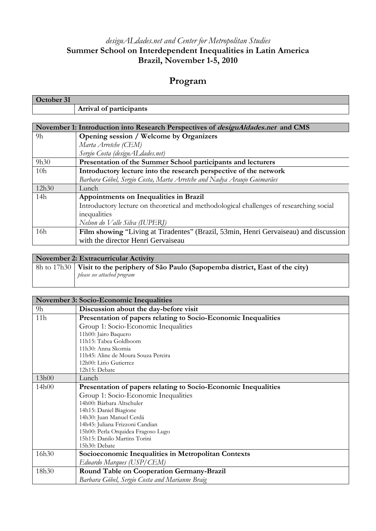## *desiguALdades.net and Center for Metropolitan Studies*  **Summer School on Interdependent Inequalities in Latin America Brazil, November 1-5, 2010**

## **Program**

| October 31                                                                              |                                                                                         |  |
|-----------------------------------------------------------------------------------------|-----------------------------------------------------------------------------------------|--|
|                                                                                         | Arrival of participants                                                                 |  |
|                                                                                         |                                                                                         |  |
| November 1: Introduction into Research Perspectives of <i>desiguAldades.net</i> and CMS |                                                                                         |  |
| 9h                                                                                      | Opening session / Welcome by Organizers                                                 |  |
|                                                                                         | Marta Arretche (CEM)                                                                    |  |
|                                                                                         | Sergio Costa (desiguAL dades.net)                                                       |  |
| 9h30                                                                                    | Presentation of the Summer School participants and lecturers                            |  |
| 10 <sub>h</sub>                                                                         | Introductory lecture into the research perspective of the network                       |  |
|                                                                                         | Barbara Göbel, Sergio Costa, Marta Arretche and Nadya Araujo Guimarães                  |  |
| 12h30                                                                                   | Lunch                                                                                   |  |
| 14h                                                                                     | Appointments on Inequalities in Brazil                                                  |  |
|                                                                                         | Introductory lecture on theoretical and methodological challenges of researching social |  |
|                                                                                         | inequalities                                                                            |  |
|                                                                                         | Nelson do Valle Silva (IUPERJ)                                                          |  |
| 16h                                                                                     | Film showing "Living at Tiradentes" (Brazil, 53min, Henri Gervaiseau) and discussion    |  |
|                                                                                         | with the director Henri Gervaiseau                                                      |  |

| November 2: Extracurricular Activity |                                                                                                                                       |  |
|--------------------------------------|---------------------------------------------------------------------------------------------------------------------------------------|--|
|                                      | $\vert$ 8h to 17h30 $\vert$ Visit to the periphery of São Paulo (Sapopemba district, East of the city)<br>please see attached program |  |

| <b>November 3: Socio-Economic Inequalities</b> |                                                                |  |
|------------------------------------------------|----------------------------------------------------------------|--|
| 9h                                             | Discussion about the day-before visit                          |  |
| 11h                                            | Presentation of papers relating to Socio-Economic Inequalities |  |
|                                                | Group 1: Socio-Economic Inequalities                           |  |
|                                                | 11h00: Jairo Baquero                                           |  |
|                                                | 11h15: Tabea Goldboom                                          |  |
|                                                | 11h30: Anna Skornia                                            |  |
|                                                | 11h45: Aline de Moura Souza Pereira                            |  |
|                                                | 12h00: Lirio Gutierrez                                         |  |
|                                                | 12h15: Debate                                                  |  |
| 13h00                                          | Lunch                                                          |  |
| 14h00                                          | Presentation of papers relating to Socio-Economic Inequalities |  |
|                                                | Group 1: Socio-Economic Inequalities                           |  |
|                                                | 14h00: Bárbara Altschuler                                      |  |
|                                                | 14h15: Daniel Biagione                                         |  |
|                                                | 14h30: Juan Manuel Cerdá                                       |  |
|                                                | 14h45: Juliana Frizzoni Candian                                |  |
|                                                | 15h00: Perla Orquidea Fragoso Lugo                             |  |
|                                                | 15h15: Danilo Martins Torini                                   |  |
|                                                | 15h30: Debate                                                  |  |
| 16h30                                          | Socioeconomic Inequalities in Metropolitan Contexts            |  |
|                                                | Eduardo Marques (USP/CEM)                                      |  |
| 18h30                                          | Round Table on Cooperation Germany-Brazil                      |  |
|                                                | Barbara Göbel, Sergio Costa and Marianne Braig                 |  |